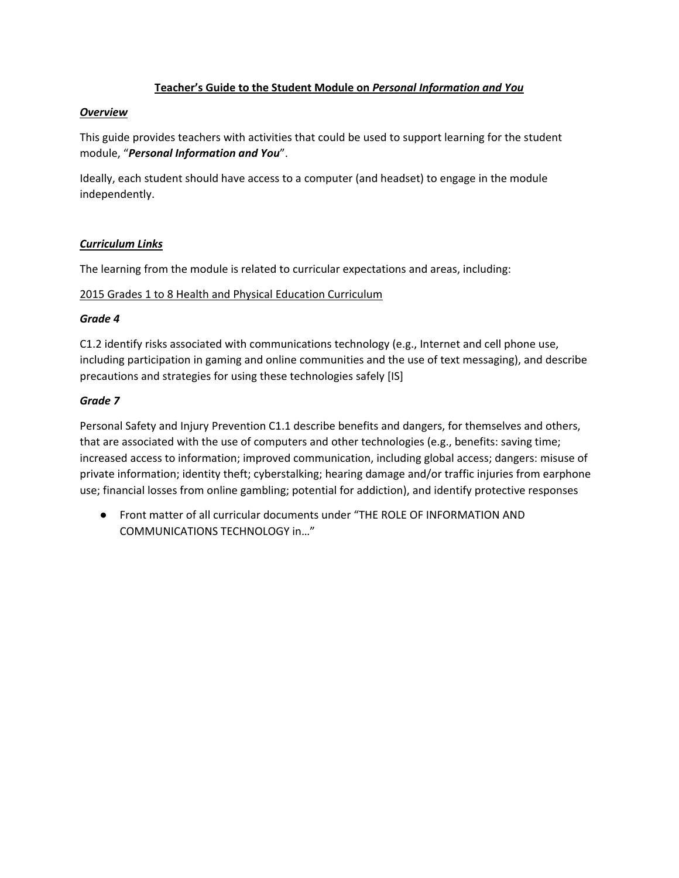# **Teacher's Guide to the Student Module on** *Personal Information and You*

### *Overview*

This guide provides teachers with activities that could be used to support learning for the student module, "*Personal Information and You*".

Ideally, each student should have access to a computer (and headset) to engage in the module independently.

## *Curriculum Links*

The learning from the module is related to curricular expectations and areas, including:

### 2015 Grades 1 to 8 Health and Physical Education Curriculum

### *Grade 4*

C1.2 identify risks associated with communications technology (e.g., Internet and cell phone use, including participation in gaming and online communities and the use of text messaging), and describe precautions and strategies for using these technologies safely [IS]

## *Grade 7*

Personal Safety and Injury Prevention C1.1 describe benefits and dangers, for themselves and others, that are associated with the use of computers and other technologies (e.g., benefits: saving time; increased access to information; improved communication, including global access; dangers: misuse of private information; identity theft; cyberstalking; hearing damage and/or traffic injuries from earphone use; financial losses from online gambling; potential for addiction), and identify protective responses

● Front matter of all curricular documents under "THE ROLE OF INFORMATION AND COMMUNICATIONS TECHNOLOGY in…"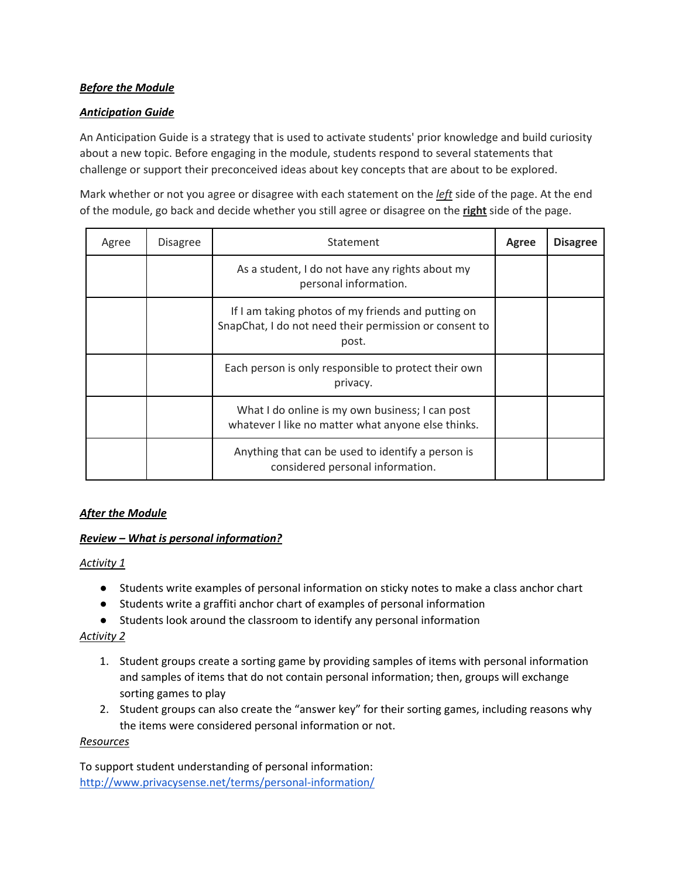## *Before the Module*

## *Anticipation Guide*

An Anticipation Guide is a strategy that is used to activate students' prior knowledge and build curiosity about a new topic. Before engaging in the module, students respond to several statements that challenge or support their preconceived ideas about key concepts that are about to be explored.

Mark whether or not you agree or disagree with each statement on the *left* side of the page. At the end of the module, go back and decide whether you still agree or disagree on the **right** side of the page.

| Agree | <b>Disagree</b> | Statement                                                                                                             | Agree | <b>Disagree</b> |
|-------|-----------------|-----------------------------------------------------------------------------------------------------------------------|-------|-----------------|
|       |                 | As a student, I do not have any rights about my<br>personal information.                                              |       |                 |
|       |                 | If I am taking photos of my friends and putting on<br>SnapChat, I do not need their permission or consent to<br>post. |       |                 |
|       |                 | Each person is only responsible to protect their own<br>privacy.                                                      |       |                 |
|       |                 | What I do online is my own business; I can post<br>whatever I like no matter what anyone else thinks.                 |       |                 |
|       |                 | Anything that can be used to identify a person is<br>considered personal information.                                 |       |                 |

# *After the Module*

### *Review – What is personal information?*

### *Activity 1*

- Students write examples of personal information on sticky notes to make a class anchor chart
- Students write a graffiti anchor chart of examples of personal information
- Students look around the classroom to identify any personal information

### *Activity 2*

- 1. Student groups create a sorting game by providing samples of items with personal information and samples of items that do not contain personal information; then, groups will exchange sorting games to play
- 2. Student groups can also create the "answer key" for their sorting games, including reasons why the items were considered personal information or not.

### *Resources*

To support student understanding of personal information: http://www.privacysense.net/terms/personal-information/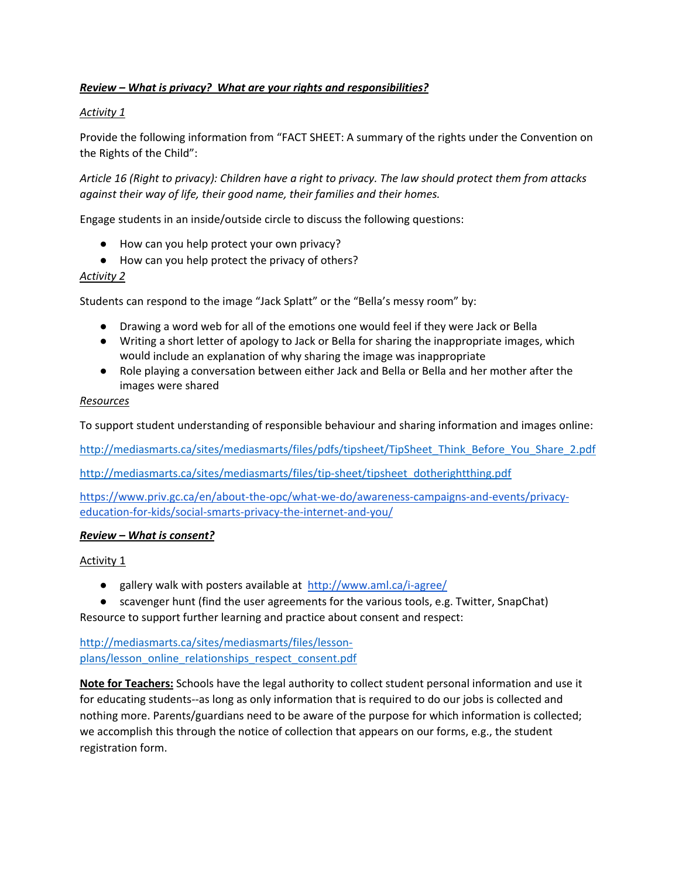# *Review – What is privacy? What are your rights and responsibilities?*

# *Activity 1*

Provide the following information from "FACT SHEET: A summary of the rights under the Convention on the Rights of the Child":

Article 16 (Right to privacy): Children have a right to privacy. The law should protect them from attacks *against their way of life, their good name, their families and their homes.*

Engage students in an inside/outside circle to discuss the following questions:

- How can you help protect your own privacy?
- How can you help protect the privacy of others?

### *Activity 2*

Students can respond to the image "Jack Splatt" or the "Bella's messy room" by:

- Drawing a word web for all of the emotions one would feel if they were Jack or Bella
- Writing a short letter of apology to Jack or Bella for sharing the inappropriate images, which would include an explanation of why sharing the image was inappropriate
- Role playing a conversation between either Jack and Bella or Bella and her mother after the images were shared

#### *Resources*

To support student understanding of responsible behaviour and sharing information and images online:

http://mediasmarts.ca/sites/mediasmarts/files/pdfs/tipsheet/TipSheet\_Think\_Before\_You\_Share\_2.pdf

http://mediasmarts.ca/sites/mediasmarts/files/tip-sheet/tipsheet\_dotherightthing.pdf

https://www.priv.gc.ca/en/about-the-opc/what-we-do/awareness-campaigns-and-events/privacyeducation-for-kids/social-smarts-privacy-the-internet-and-you/

### *Review – What is consent?*

Activity 1

- gallery walk with posters available at http://www.aml.ca/i-agree/
- scavenger hunt (find the user agreements for the various tools, e.g. Twitter, SnapChat) Resource to support further learning and practice about consent and respect:

http://mediasmarts.ca/sites/mediasmarts/files/lesson‐ plans/lesson\_online\_relationships\_respect\_consent.pdf

**Note for Teachers:** Schools have the legal authority to collect student personal information and use it for educating students--as long as only information that is required to do our jobs is collected and nothing more. Parents/guardians need to be aware of the purpose for which information is collected; we accomplish this through the notice of collection that appears on our forms, e.g., the student registration form.